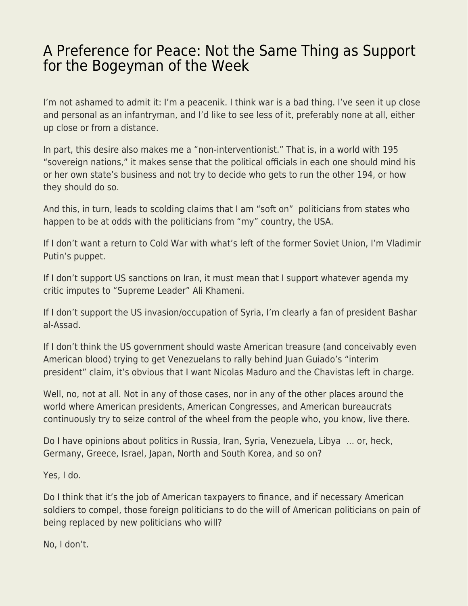## [A Preference for Peace: Not the Same Thing as Support](https://everything-voluntary.com/a-preference-for-peace-not-the-same-thing-as-support-for-the-bogeyman-of-the-week) [for the Bogeyman of the Week](https://everything-voluntary.com/a-preference-for-peace-not-the-same-thing-as-support-for-the-bogeyman-of-the-week)

I'm not ashamed to admit it: I'm a peacenik. I think war is a bad thing. I've seen it up close and personal as an infantryman, and I'd like to see less of it, preferably none at all, either up close or from a distance.

In part, this desire also makes me a "non-interventionist." That is, in a world with 195 "sovereign nations," it makes sense that the political officials in each one should mind his or her own state's business and not try to decide who gets to run the other 194, or how they should do so.

And this, in turn, leads to scolding claims that I am "soft on" politicians from states who happen to be at odds with the politicians from "my" country, the USA.

If I don't want a return to Cold War with what's left of the former Soviet Union, I'm Vladimir Putin's puppet.

If I don't support US sanctions on Iran, it must mean that I support whatever agenda my critic imputes to "Supreme Leader" Ali Khameni.

If I don't support the US invasion/occupation of Syria, I'm clearly a fan of president Bashar al-Assad.

If I don't think the US government should waste American treasure (and conceivably even American blood) trying to get Venezuelans to rally behind Juan Guiado's "interim president" claim, it's obvious that I want Nicolas Maduro and the Chavistas left in charge.

Well, no, not at all. Not in any of those cases, nor in any of the other places around the world where American presidents, American Congresses, and American bureaucrats continuously try to seize control of the wheel from the people who, you know, live there.

Do I have opinions about politics in Russia, Iran, Syria, Venezuela, Libya … or, heck, Germany, Greece, Israel, Japan, North and South Korea, and so on?

Yes, I do.

Do I think that it's the job of American taxpayers to finance, and if necessary American soldiers to compel, those foreign politicians to do the will of American politicians on pain of being replaced by new politicians who will?

No, I don't.